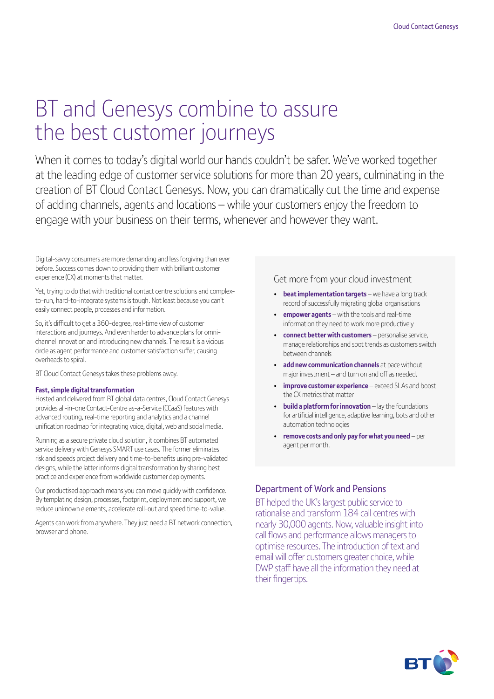# BT and Genesys combine to assure the best customer journeys

When it comes to today's digital world our hands couldn't be safer. We've worked together at the leading edge of customer service solutions for more than 20 years, culminating in the creation of BT Cloud Contact Genesys. Now, you can dramatically cut the time and expense of adding channels, agents and locations – while your customers enjoy the freedom to engage with your business on their terms, whenever and however they want.

Digital-savvy consumers are more demanding and less forgiving than ever before. Success comes down to providing them with brilliant customer experience (CX) at moments that matter.

Yet, trying to do that with traditional contact centre solutions and complexto-run, hard-to-integrate systems is tough. Not least because you can't easily connect people, processes and information.

So, it's difficult to get a 360-degree, real-time view of customer interactions and journeys. And even harder to advance plans for omnichannel innovation and introducing new channels. The result is a vicious circle as agent performance and customer satisfaction suffer, causing overheads to spiral.

BT Cloud Contact Genesys takes these problems away.

#### **Fast, simple digital transformation**

Hosted and delivered from BT global data centres, Cloud Contact Genesys provides all-in-one Contact-Centre as-a-Service (CCaaS) features with advanced routing, real-time reporting and analytics and a channel unification roadmap for integrating voice, digital, web and social media.

Running as a secure private cloud solution, it combines BT automated service delivery with Genesys SMART use cases. The former eliminates risk and speeds project delivery and time-to-benefits using pre-validated designs, while the latter informs digital transformation by sharing best practice and experience from worldwide customer deployments.

Our productised approach means you can move quickly with confidence. By templating design, processes, footprint, deployment and support, we reduce unknown elements, accelerate roll-out and speed time-to-value.

Agents can work from anywhere. They just need a BT network connection, browser and phone.

### Get more from your cloud investment

- **beat implementation targets** we have a long track record of successfully migrating global organisations
- **empower agents** with the tools and real-time information they need to work more productively
- **connect better with customers** personalise service, manage relationships and spot trends as customers switch between channels
- **add new communication channels** at pace without major investment – and turn on and off as needed.
- **improve customer experience** exceed SLAs and boost the CX metrics that matter
- **build a platform for innovation** lay the foundations for artificial intelligence, adaptive learning, bots and other automation technologies
- **remove costs and only pay for what you need** per agent per month.

## Department of Work and Pensions

BT helped the UK's largest public service to rationalise and transform 184 call centres with nearly 30,000 agents. Now, valuable insight into call flows and performance allows managers to optimise resources. The introduction of text and email will offer customers greater choice, while DWP staff have all the information they need at their fingertips.